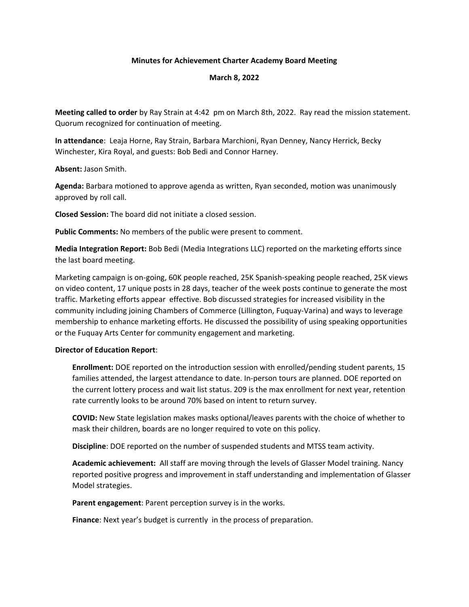## **Minutes for Achievement Charter Academy Board Meeting**

## **March 8, 2022**

**Meeting called to order** by Ray Strain at 4:42 pm on March 8th, 2022. Ray read the mission statement. Quorum recognized for continuation of meeting.

**In attendance**: Leaja Horne, Ray Strain, Barbara Marchioni, Ryan Denney, Nancy Herrick, Becky Winchester, Kira Royal, and guests: Bob Bedi and Connor Harney.

**Absent:** Jason Smith.

**Agenda:** Barbara motioned to approve agenda as written, Ryan seconded, motion was unanimously approved by roll call.

**Closed Session:** The board did not initiate a closed session.

**Public Comments:** No members of the public were present to comment.

**Media Integration Report:** Bob Bedi (Media Integrations LLC) reported on the marketing efforts since the last board meeting.

Marketing campaign is on-going, 60K people reached, 25K Spanish-speaking people reached, 25K views on video content, 17 unique posts in 28 days, teacher of the week posts continue to generate the most traffic. Marketing efforts appear effective. Bob discussed strategies for increased visibility in the community including joining Chambers of Commerce (Lillington, Fuquay-Varina) and ways to leverage membership to enhance marketing efforts. He discussed the possibility of using speaking opportunities or the Fuquay Arts Center for community engagement and marketing.

## **Director of Education Report**:

**Enrollment:** DOE reported on the introduction session with enrolled/pending student parents, 15 families attended, the largest attendance to date. In-person tours are planned. DOE reported on the current lottery process and wait list status. 209 is the max enrollment for next year, retention rate currently looks to be around 70% based on intent to return survey.

**COVID:** New State legislation makes masks optional/leaves parents with the choice of whether to mask their children, boards are no longer required to vote on this policy.

**Discipline**: DOE reported on the number of suspended students and MTSS team activity.

**Academic achievement:** All staff are moving through the levels of Glasser Model training. Nancy reported positive progress and improvement in staff understanding and implementation of Glasser Model strategies.

**Parent engagement**: Parent perception survey is in the works.

**Finance**: Next year's budget is currently in the process of preparation.